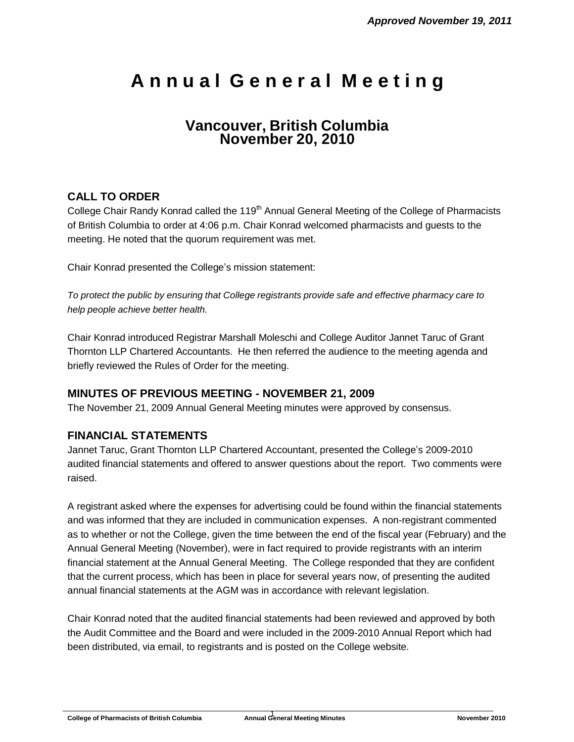# **A n n u a l G e n e r a l M e e t i n g**

## **Vancouver, British Columbia November 20, 2010**

## **CALL TO ORDER**

College Chair Randy Konrad called the 119<sup>th</sup> Annual General Meeting of the College of Pharmacists of British Columbia to order at 4:06 p.m. Chair Konrad welcomed pharmacists and guests to the meeting. He noted that the quorum requirement was met.

Chair Konrad presented the College's mission statement:

*To protect the public by ensuring that College registrants provide safe and effective pharmacy care to help people achieve better health.*

Chair Konrad introduced Registrar Marshall Moleschi and College Auditor Jannet Taruc of Grant Thornton LLP Chartered Accountants. He then referred the audience to the meeting agenda and briefly reviewed the Rules of Order for the meeting.

## **MINUTES OF PREVIOUS MEETING - NOVEMBER 21, 2009**

The November 21, 2009 Annual General Meeting minutes were approved by consensus.

## **FINANCIAL STATEMENTS**

Jannet Taruc, Grant Thornton LLP Chartered Accountant, presented the College's 2009-2010 audited financial statements and offered to answer questions about the report. Two comments were raised.

A registrant asked where the expenses for advertising could be found within the financial statements and was informed that they are included in communication expenses. A non-registrant commented as to whether or not the College, given the time between the end of the fiscal year (February) and the Annual General Meeting (November), were in fact required to provide registrants with an interim financial statement at the Annual General Meeting. The College responded that they are confident that the current process, which has been in place for several years now, of presenting the audited annual financial statements at the AGM was in accordance with relevant legislation.

Chair Konrad noted that the audited financial statements had been reviewed and approved by both the Audit Committee and the Board and were included in the 2009-2010 Annual Report which had been distributed, via email, to registrants and is posted on the College website.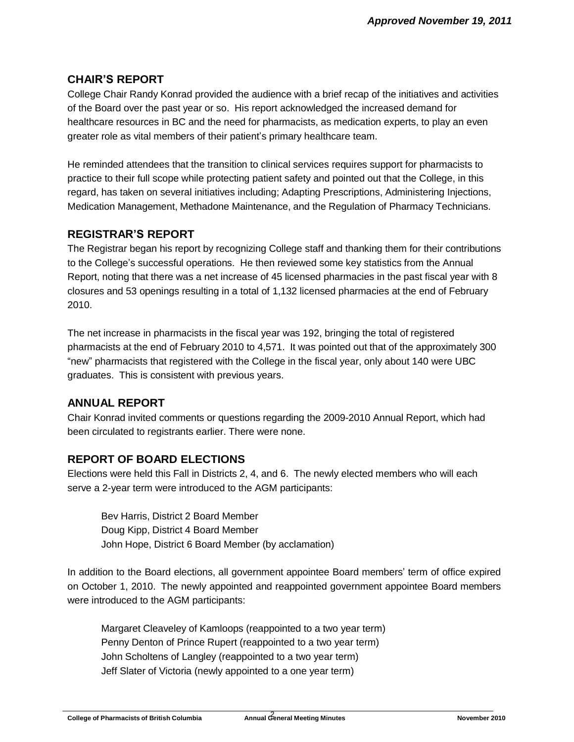## **CHAIR'S REPORT**

College Chair Randy Konrad provided the audience with a brief recap of the initiatives and activities of the Board over the past year or so. His report acknowledged the increased demand for healthcare resources in BC and the need for pharmacists, as medication experts, to play an even greater role as vital members of their patient's primary healthcare team.

He reminded attendees that the transition to clinical services requires support for pharmacists to practice to their full scope while protecting patient safety and pointed out that the College, in this regard, has taken on several initiatives including; Adapting Prescriptions, Administering Injections, Medication Management, Methadone Maintenance, and the Regulation of Pharmacy Technicians*.*

## **REGISTRAR'S REPORT**

The Registrar began his report by recognizing College staff and thanking them for their contributions to the College's successful operations. He then reviewed some key statistics from the Annual Report, noting that there was a net increase of 45 licensed pharmacies in the past fiscal year with 8 closures and 53 openings resulting in a total of 1,132 licensed pharmacies at the end of February 2010.

The net increase in pharmacists in the fiscal year was 192, bringing the total of registered pharmacists at the end of February 2010 to 4,571. It was pointed out that of the approximately 300 "new" pharmacists that registered with the College in the fiscal year, only about 140 were UBC graduates. This is consistent with previous years.

## **ANNUAL REPORT**

Chair Konrad invited comments or questions regarding the 2009-2010 Annual Report, which had been circulated to registrants earlier. There were none.

## **REPORT OF BOARD ELECTIONS**

Elections were held this Fall in Districts 2, 4, and 6. The newly elected members who will each serve a 2-year term were introduced to the AGM participants:

Bev Harris, District 2 Board Member Doug Kipp, District 4 Board Member John Hope, District 6 Board Member (by acclamation)

In addition to the Board elections, all government appointee Board members' term of office expired on October 1, 2010. The newly appointed and reappointed government appointee Board members were introduced to the AGM participants:

Margaret Cleaveley of Kamloops (reappointed to a two year term) Penny Denton of Prince Rupert (reappointed to a two year term) John Scholtens of Langley (reappointed to a two year term) Jeff Slater of Victoria (newly appointed to a one year term)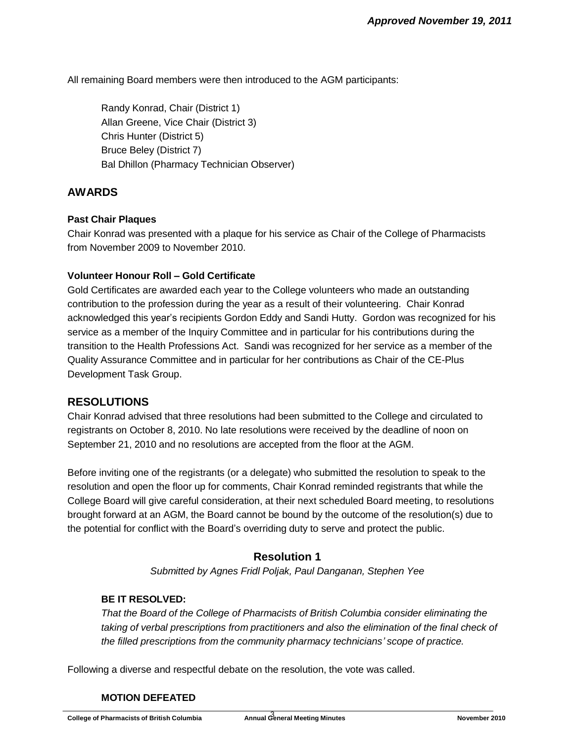All remaining Board members were then introduced to the AGM participants:

Randy Konrad, Chair (District 1) Allan Greene, Vice Chair (District 3) Chris Hunter (District 5) Bruce Beley (District 7) Bal Dhillon (Pharmacy Technician Observer)

#### **AWARDS**

#### **Past Chair Plaques**

Chair Konrad was presented with a plaque for his service as Chair of the College of Pharmacists from November 2009 to November 2010.

#### **Volunteer Honour Roll – Gold Certificate**

Gold Certificates are awarded each year to the College volunteers who made an outstanding contribution to the profession during the year as a result of their volunteering. Chair Konrad acknowledged this year's recipients Gordon Eddy and Sandi Hutty. Gordon was recognized for his service as a member of the Inquiry Committee and in particular for his contributions during the transition to the Health Professions Act. Sandi was recognized for her service as a member of the Quality Assurance Committee and in particular for her contributions as Chair of the CE-Plus Development Task Group.

#### **RESOLUTIONS**

Chair Konrad advised that three resolutions had been submitted to the College and circulated to registrants on October 8, 2010. No late resolutions were received by the deadline of noon on September 21, 2010 and no resolutions are accepted from the floor at the AGM.

Before inviting one of the registrants (or a delegate) who submitted the resolution to speak to the resolution and open the floor up for comments, Chair Konrad reminded registrants that while the College Board will give careful consideration, at their next scheduled Board meeting, to resolutions brought forward at an AGM, the Board cannot be bound by the outcome of the resolution(s) due to the potential for conflict with the Board's overriding duty to serve and protect the public.

## **Resolution 1**

*Submitted by Agnes Fridl Poljak, Paul Danganan, Stephen Yee*

#### **BE IT RESOLVED:**

*That the Board of the College of Pharmacists of British Columbia consider eliminating the taking of verbal prescriptions from practitioners and also the elimination of the final check of the filled prescriptions from the community pharmacy technicians' scope of practice.*

Following a diverse and respectful debate on the resolution, the vote was called.

#### **MOTION DEFEATED**